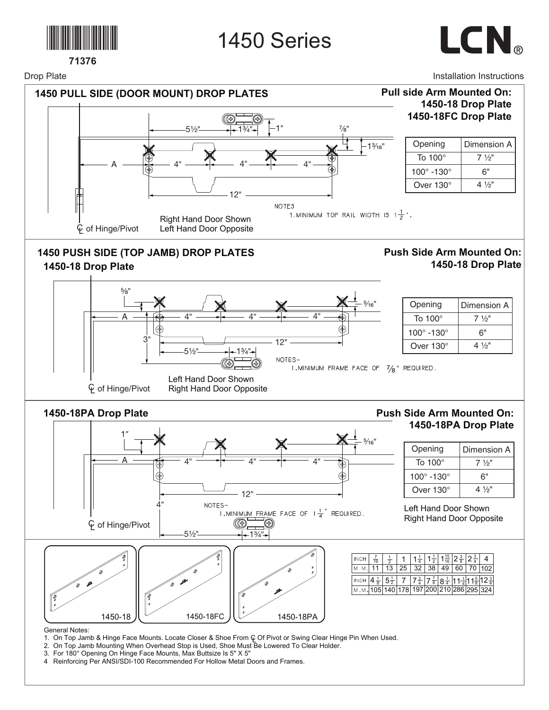



Drop Plate



 $1\frac{3}{4}$ "

12"

NOTES-

1. MINIMUM FRAME FACE OF 7/8" REQUIRED.

| Opening                   | Dimension A    |  |  |  |  |
|---------------------------|----------------|--|--|--|--|
| To 100 $^{\circ}$         | $7\frac{1}{2}$ |  |  |  |  |
| $100^\circ$ -130 $^\circ$ | հ"             |  |  |  |  |
| Over 130°                 | 4 1/2"         |  |  |  |  |

Left Hand Door Shown  $\overline{\varphi}$  of Hinge/Pivot Right Hand Door Opposite

3"

 $5\frac{1}{2}$ 

## **1450-18PA Drop Plate**

## **Push Side Arm Mounted On: 1450-18PA Drop Plate**

| 1 <sup>''</sup>          |                           | 1.1                                                                     |                                                            |                                                                                                                                                                                                                                                                   |                                                                         |
|--------------------------|---------------------------|-------------------------------------------------------------------------|------------------------------------------------------------|-------------------------------------------------------------------------------------------------------------------------------------------------------------------------------------------------------------------------------------------------------------------|-------------------------------------------------------------------------|
|                          |                           |                                                                         | $\frac{1}{2}$ 5/16"                                        | Opening                                                                                                                                                                                                                                                           | Dimension A                                                             |
| A                        | 4"                        | 4"                                                                      |                                                            | To 100°                                                                                                                                                                                                                                                           | $7\frac{1}{2}$ "                                                        |
| (†                       |                           |                                                                         |                                                            | 100° -130°                                                                                                                                                                                                                                                        | 6"                                                                      |
|                          |                           | 12"                                                                     |                                                            | Over 130°                                                                                                                                                                                                                                                         | $4\frac{1}{2}$ "                                                        |
| <b></b> © of Hinge/Pivot | NOTES-<br>$-5\frac{1}{2}$ | 1. MINIMUM FRAME FACE OF $1\frac{1}{4}$ REQUIRED.<br>④<br>Ð<br>$-13/4"$ |                                                            | Left Hand Door Shown<br><b>Right Hand Door Opposite</b>                                                                                                                                                                                                           |                                                                         |
| T?<br>1450-18            | 1450-18FC                 | 1450-18PA                                                               | INCH<br>$\frac{7}{16}$<br>$\frac{1}{2}$<br>13<br>M.M<br>11 | $1\frac{1}{4}$<br>$1\frac{1}{2}$<br>32<br>38<br>25<br>49<br>INCH $\left  4\frac{1}{8} \right  5\frac{1}{2} \left  7 \right  7\frac{3}{4}   7\frac{7}{8}   8\frac{1}{4}   11\frac{1}{4}   1\frac{5}{8}   2\frac{3}{4}$<br>M.M. 105 140 178 197 200 210 286 295 324 | $1\frac{15}{16}$ $2\frac{3}{8}$ $2\frac{3}{4}$<br>-4<br>$60$   70   102 |

General Notes:

- 1. On Top Jamb & Hinge Face Mounts. Locate Closer & Shoe From Q Of Pivot or Swing Clear Hinge Pin When Used.
- 2. On Top Jamb Mounting When Overhead Stop is Used, Shoe Must Be Lowered To Clear Holder.
- 3. For 180° Opening On Hinge Face Mounts, Max Buttsize Is 5" X 5"
- 4 Reinforcing Per ANSI/SDI-100 Recommended For Hollow Metal Doors and Frames.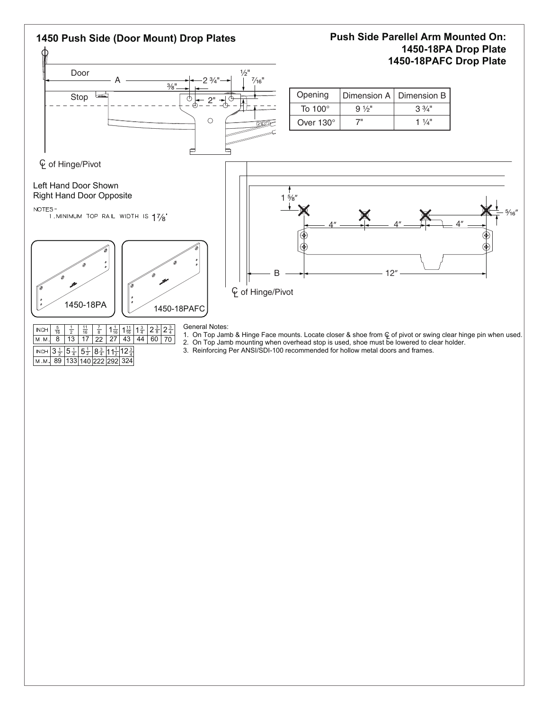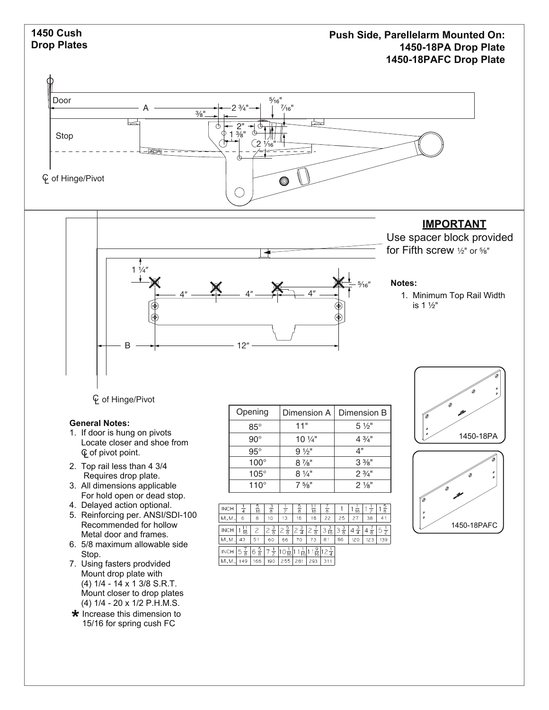

- 2. Top rail less than 4 3/4 Requires drop plate.
- 3. All dimensions applicable For hold open or dead stop.
- 4. Delayed action optional.
- 5. Reinforcing per. ANSI/SDI-100 Recommended for hollow Metal door and frames.
- 6. 5/8 maximum allowable side Stop.
- 7. Using fasters prodvided Mount drop plate with (4) 1/4 - 14 x 1 3/8 S.R.T. Mount closer to drop plates (4) 1/4 - 20 x 1/2 P.H.M.S.
- **\*** Increase this dimension to<br>15/16 for spring cush FC 15/16 for spring cush FC

| Opening      | Dimension A      | Dimension        |  |  |
|--------------|------------------|------------------|--|--|
| $85^\circ$   | 11"              | $5\frac{1}{2}$   |  |  |
| $90^{\circ}$ | $10\frac{1}{4}$  | $4\frac{3}{4}$ " |  |  |
| $95^\circ$   | $9\frac{1}{2}$ " | 4"               |  |  |
| $100^\circ$  | $8\frac{7}{8}$ " | $3\%$ "          |  |  |
| $105^\circ$  | $8\frac{1}{4}$ " | $2\frac{3}{4}$ " |  |  |
| $110^\circ$  | $7\frac{5}{8}$ " | $2\frac{1}{8}$ " |  |  |

| <b>INCH</b> | $\overline{4}$     | $\frac{5}{16}$     | $rac{3}{8}$    | $\overline{z}$ | $\frac{5}{8}$      | 16                  | $\overline{\overline{\bf 8}}$ |                    | 16                 | $\frac{1}{2}$      | $\frac{5}{8}$       |
|-------------|--------------------|--------------------|----------------|----------------|--------------------|---------------------|-------------------------------|--------------------|--------------------|--------------------|---------------------|
| M.M         | 6                  | 8                  | 10             | 13             | 16                 | 18                  | 22                            | 25                 | 27                 | 38                 | 41                  |
| <b>INCH</b> | $\frac{1}{16}$     |                    | $\frac{3}{8}$  | $\frac{5}{8}$  | $\frac{3}{4}$<br>2 | 2<br>$\overline{8}$ | $\frac{3}{16}$<br>3           | $\frac{3}{8}$<br>3 | $\frac{3}{4}$<br>4 | $\frac{1}{8}$<br>4 | 5<br>$\overline{2}$ |
| M.M.        | 43                 | 51                 | 60             | 66             | 70                 | 73                  | 81                            | 86                 | 120                | 123                | 139                 |
| <b>INCH</b> | 5<br>$\frac{1}{8}$ | $\frac{5}{8}$<br>6 | $\overline{2}$ | 110,<br>16     | $\frac{1}{16}$     | $\frac{9}{16}$      |                               |                    |                    |                    |                     |
| M.M.        | 149                | 168                | 190            | 255            | 281                | 293                 | 311                           |                    |                    |                    |                     |